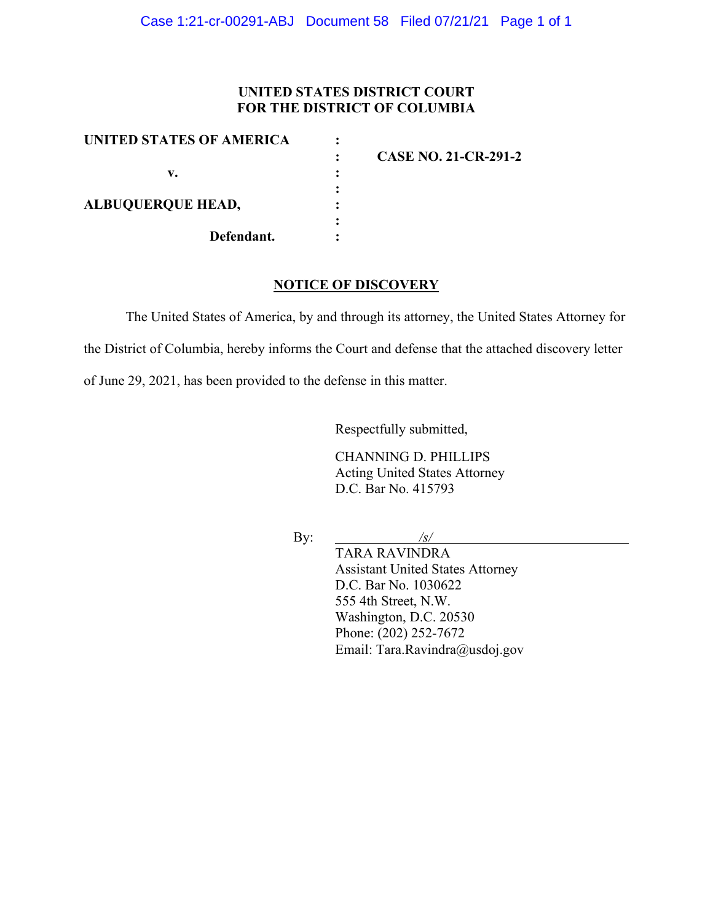# **UNITED STATES DISTRICT COURT FOR THE DISTRICT OF COLUMBIA**

| UNITED STATES OF AMERICA |                             |
|--------------------------|-----------------------------|
|                          | <b>CASE NO. 21-CR-291-2</b> |
| v.                       |                             |
|                          |                             |
| <b>ALBUQUERQUE HEAD,</b> |                             |
|                          |                             |
| Defendant.               |                             |

#### **NOTICE OF DISCOVERY**

The United States of America, by and through its attorney, the United States Attorney for

the District of Columbia, hereby informs the Court and defense that the attached discovery letter

of June 29, 2021, has been provided to the defense in this matter.

Respectfully submitted,

CHANNING D. PHILLIPS Acting United States Attorney D.C. Bar No. 415793

By: */s/*

TARA RAVINDRA Assistant United States Attorney D.C. Bar No. 1030622 555 4th Street, N.W. Washington, D.C. 20530 Phone: (202) 252-7672 Email: Tara.Ravindra@usdoj.gov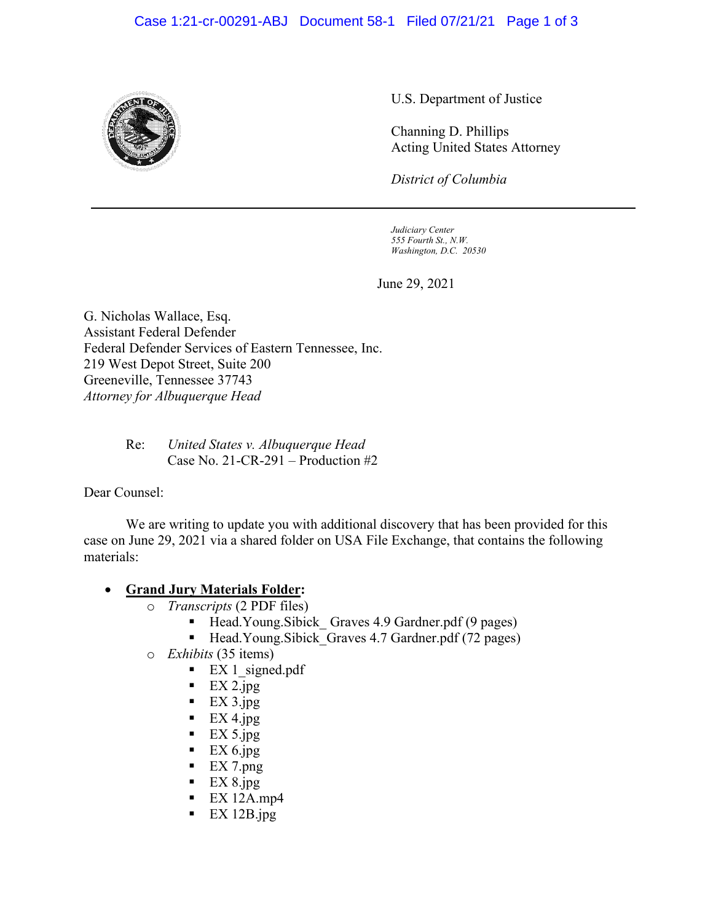## Case 1:21-cr-00291-ABJ Document 58-1 Filed 07/21/21 Page 1 of 3



U.S. Department of Justice

Channing D. Phillips Acting United States Attorney

*District of Columbia*

*Judiciary Center 555 Fourth St., N.W. Washington, D.C. 20530*

June 29, 2021

G. Nicholas Wallace, Esq. Assistant Federal Defender Federal Defender Services of Eastern Tennessee, Inc. 219 West Depot Street, Suite 200 Greeneville, Tennessee 37743 *Attorney for Albuquerque Head* 

> Re: *United States v. Albuquerque Head* Case No. 21-CR-291 – Production #2

Dear Counsel:

We are writing to update you with additional discovery that has been provided for this case on June 29, 2021 via a shared folder on USA File Exchange, that contains the following materials:

#### • **Grand Jury Materials Folder:**

- o *Transcripts* (2 PDF files)
	- Head.Young.Sibick Graves 4.9 Gardner.pdf (9 pages)
	- Head.Young.Sibick Graves 4.7 Gardner.pdf (72 pages)
- o *Exhibits* (35 items)
	- $\blacksquare$  EX 1 signed.pdf
	- $EX 2.jpg$
	- $\blacksquare$  EX 3.jpg
	- $\blacksquare$  EX 4.jpg
	- $\blacksquare$  EX 5.jpg
	- $\blacksquare$  EX 6.jpg
	- $EX 7.png$
	- $EX 8.jpg$
	- $EX 12Amp4$
	- EX 12B.jpg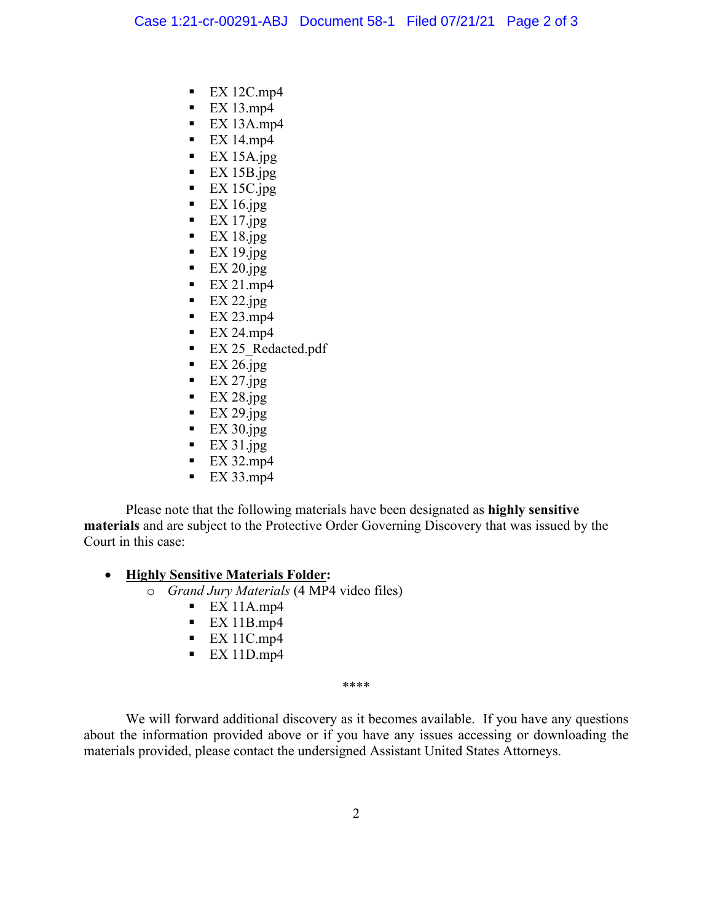- $EX 12Cmp4$
- $EX 13mp4$
- $EX 13Amp4$
- $\blacksquare$  EX 14.mp4
- $EX 15A.jpg$
- $EX 15B.jpg$
- $\blacksquare$  EX 15C.jpg
- $\blacksquare$  EX 16.jpg
- $\blacksquare$  EX 17.jpg
- $\blacksquare$  EX 18.jpg
- $EX 19.jpg$
- $\blacksquare$  EX 20.jpg
- $\blacksquare$  EX 21.mp4
- $EX 22.jpg$
- $EX 23mp4$
- $\blacksquare$  EX 24.mp4
- EX 25 Redacted.pdf
- $\blacksquare$  EX 26.jpg
- $EX 27.jpg$
- $EX 28.jpg$
- $EX 29.jpg$
- $EX 30.jpg$
- $\blacksquare$  EX 31.jpg
- $\blacksquare$  EX 32.mp4
- $EX 33mp4$

Please note that the following materials have been designated as **highly sensitive materials** and are subject to the Protective Order Governing Discovery that was issued by the Court in this case:

## • **Highly Sensitive Materials Folder:**

- o *Grand Jury Materials* (4 MP4 video files)
	- $EX 11Amp4$
	- $EX 11Bmp4$
	- $EX 11Cmp4$
	- $EX 11Dmp4$

\*\*\*\*

We will forward additional discovery as it becomes available. If you have any questions about the information provided above or if you have any issues accessing or downloading the materials provided, please contact the undersigned Assistant United States Attorneys.